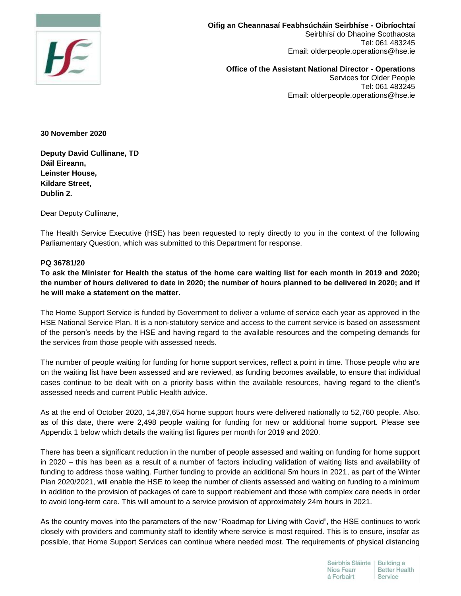

**Oifig an Cheannasaí Feabhsúcháin Seirbhíse - Oibríochtaí**  Seirbhísí do Dhaoine Scothaosta Tel: 061 483245 Email: olderpeople.operations@hse.ie

**Office of the Assistant National Director - Operations**  Services for Older People Tel: 061 483245 Email: olderpeople.operations@hse.ie

**30 November 2020**

**Deputy David Cullinane, TD Dáil Eireann, Leinster House, Kildare Street, Dublin 2.**

Dear Deputy Cullinane,

The Health Service Executive (HSE) has been requested to reply directly to you in the context of the following Parliamentary Question, which was submitted to this Department for response.

## **PQ 36781/20**

**To ask the Minister for Health the status of the home care waiting list for each month in 2019 and 2020; the number of hours delivered to date in 2020; the number of hours planned to be delivered in 2020; and if he will make a statement on the matter.**

The Home Support Service is funded by Government to deliver a volume of service each year as approved in the HSE National Service Plan. It is a non-statutory service and access to the current service is based on assessment of the person's needs by the HSE and having regard to the available resources and the competing demands for the services from those people with assessed needs.

The number of people waiting for funding for home support services, reflect a point in time. Those people who are on the waiting list have been assessed and are reviewed, as funding becomes available, to ensure that individual cases continue to be dealt with on a priority basis within the available resources, having regard to the client's assessed needs and current Public Health advice.

As at the end of October 2020, 14,387,654 home support hours were delivered nationally to 52,760 people. Also, as of this date, there were 2,498 people waiting for funding for new or additional home support. Please see Appendix 1 below which details the waiting list figures per month for 2019 and 2020.

There has been a significant reduction in the number of people assessed and waiting on funding for home support in 2020 – this has been as a result of a number of factors including validation of waiting lists and availability of funding to address those waiting. Further funding to provide an additional 5m hours in 2021, as part of the Winter Plan 2020/2021, will enable the HSE to keep the number of clients assessed and waiting on funding to a minimum in addition to the provision of packages of care to support reablement and those with complex care needs in order to avoid long-term care. This will amount to a service provision of approximately 24m hours in 2021.

As the country moves into the parameters of the new "Roadmap for Living with Covid", the HSE continues to work closely with providers and community staff to identify where service is most required. This is to ensure, insofar as possible, that Home Support Services can continue where needed most. The requirements of physical distancing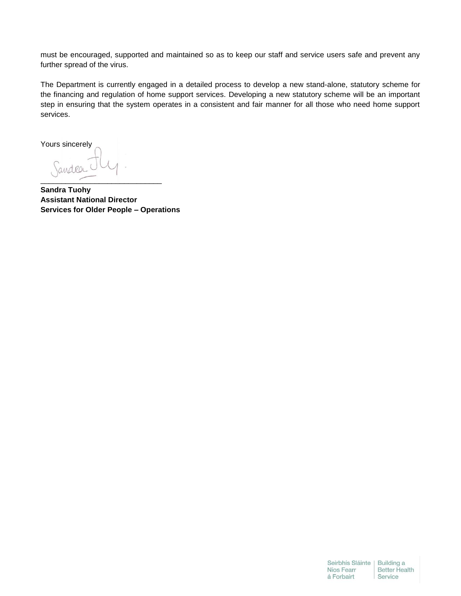must be encouraged, supported and maintained so as to keep our staff and service users safe and prevent any further spread of the virus.

The Department is currently engaged in a detailed process to develop a new stand-alone, statutory scheme for the financing and regulation of home support services. Developing a new statutory scheme will be an important step in ensuring that the system operates in a consistent and fair manner for all those who need home support services.

Yours sincerely Sandra \_\_\_\_\_\_\_\_\_\_\_\_\_\_\_\_\_\_\_\_\_\_\_\_\_\_\_\_\_

**Sandra Tuohy Assistant National Director Services for Older People – Operations**